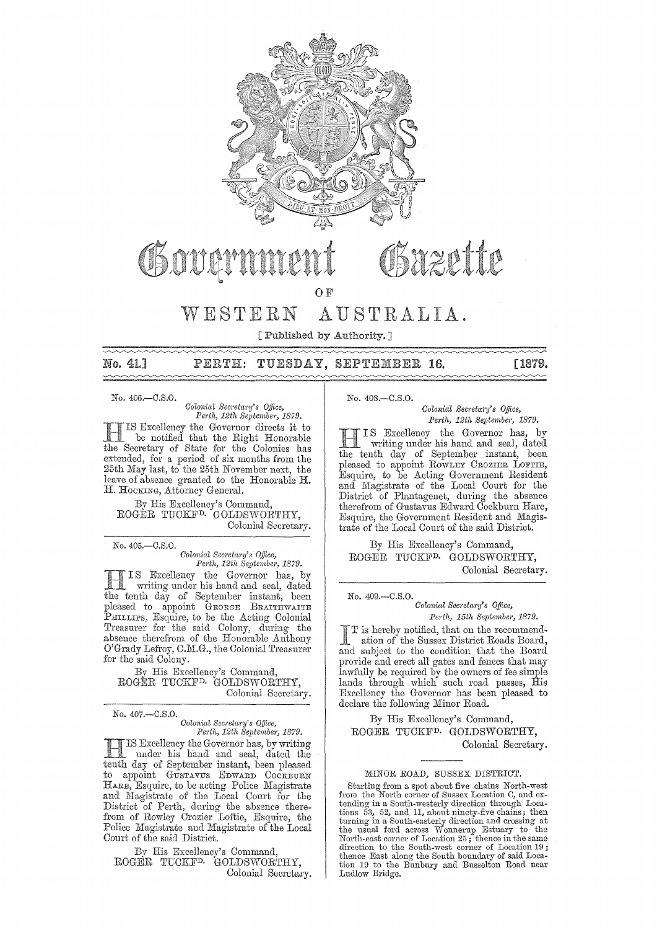

# OSOOOM

OF

## WESTERN AUSTRALIA.

[Published by Authority. ]

No. 41.1 PERTH: TUESDAY, SEPTEMBER 16. [1879.

No. 406.-C.S.0.

*Oolonial Seaetm'y's o.ffice,*  Perth, 12th September, 1879.

Excellency the Governor directs it to be notified that the Right Honorable the Secretary of State for the Colonies has extended, for a period of six months from the 25th May last, to the 25th November next, the leave of absence granted to the Honorable **H.**  H. HOCKING, Attorney General.

By His Excellency's Command, ROGER TUCKFD. GOLDSWORTHY, Colonial Secretary.

No.405.-C.S.0.

*Colonial Secretary's Office, Perth, 12th September, 1879.* 

I S Excellency the Governor has, by writing under his hand and seal, dated tenth day of September instant, been pleased to appoint GEORGE BRAITHWAITE PHILLIPS, Esquire, to be the Acting Colonial Treasurer for the said Colony, during the absence therefrom of the Honorable Anthony O'Grady Lefroy, C.M.G., the Colonial Treasurer for the said Colony.

By His Excellency's Command, ROGER TUCKFD. GOLDSWORTHY, Colonial Secretary.

No. 407.-C.S.0.

### *Colonial Secretal'y's o.fjice, Pcrth, 12th September, 1879.*

Excelleney the Governor has, by writing under his hand and seal, dated the day of September instant, been pleased to appoint GUSTAVUS EDWARD COCKBURN HARE, Esquire, to be acting Police Magistrate and Magistrate of the Local Court for the District of Perth, during the absence therefrom of Rowley Crozier Lothe, Esquire, the Police Magistrate and Magistrate of the Local Court of the said District.

By His Excelleney's Command, ROGER TUCKFD. GOLDSWORTHY, Colonial Secretary. No. 408.-C.S.0.

*Oolonic,l Secl'etal'y's o.fjice, Pel'th, 12th Septembel', 1879.* 

I S Excellency the Governor has, by writing under his hand and seal, dated tenth day of September instant, been pleased to appoint ROWLEY CROZIER LOFTIE, Esquire, to be Acting Government Resident and Magistrate of the Local Court for the District of Plantagenet, during the absence therefrom of Gustavus Edward Coekburn Hare, Esquire, the Government Resident and Magistrate of the Local Court of the said District.

Gazette

By His Excellency's Command, ROGER TUCKFD. GOLDSWORTHY, Colonial Secretary.

### No.409.-C.S.0. *Oolonial Secl'etw'y's Office, Perth, 15th September, 1879.*

is hereby notified, that on the recommendation of the Sussex District Roads Board, and subject to the condition that the Board provide and erect all gates and fences that may lawfully be required by the owners of fee simple lands through which such road passes, His Excellency the Governor has been pleased to declare the following Minor Road.

By His Excellency's Command, ROGER TUCKFD. GOLDSWORTHY, Colonial Secretary.

### MINOR ROAD, SUSSEX DISTRICT.

Starting from a spot about five chains North-west<br>from the North corner of Sussex Location C, and extending in a South-westerly direction through Locations 53, 52, and 11, about ninety-five chains; then turning in a South-easterly direction and crossing at the usual ford across Wonnerup Estuary to the North-east corner of Location 25; thence in the same direction to the South-west corner of Location 19; thence East along the South boundary of said Location 19 to the Bunbury and Busselton Road near Ludlow Bridge.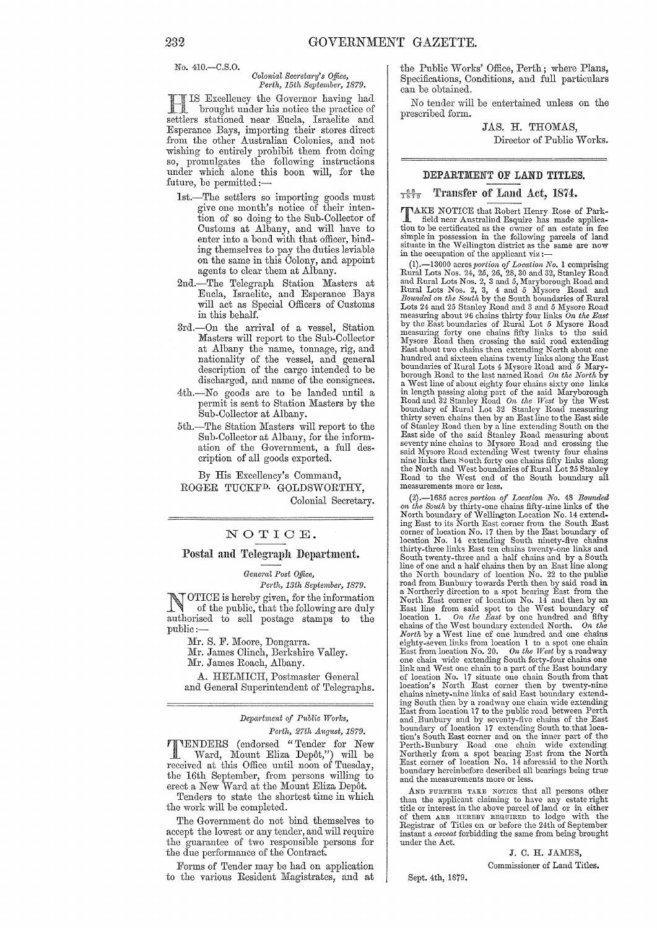No. 410.-C.S.0.

#### *Oolonial Secretary's Office, Pedh, 15th September, 1879.*

IS Excellency the Governor having had brought under his notice the practice of settlers stationed near Eucla, Israelite and Esperance Bays, importing their stores direct from the other Australian Colonies, and not wishing to entirely prohibit them from doing so, promulgates the following instructions under which alone this boon will, for the future, be permitted:-

- lst.-The settlers so importing goods must give one month's notice of their intention of so doing to the Snb-Collector of Customs at Albany, and will have to enter into a bond with that officer, binding themselves to pay the duties leviable on the same in this Colony, and appoint agents to clear them at Albany.
- 2nd.-The Telegraph Station Masters at Eucla, Israelite, and Esperance Bays will act as Special Officers of Customs in this behalf.
- 3rd.-On the arrival of a vessel, Station Masters will report to the Sub-Collector at Albany the name, tonnage, rig, and nationality of the vessel, and general description of the cargo intended to be discharged, and name of the consignees.
- 4th.-No goods are to be landed until a permit is sent to Station Masters by the Sub-Collector at Albany.
- 5th.-The Station Masters will report to the Sub-Collector at A1bany, for the information of the Government, a full description of all goods exported.

By His Excellency's Command, ROGER TUCKFD. GOLDSWORTHY, Colonial Secretary.

### NOTIOE.

### Postal and Telegraph Department.

*General Post Office,* 

*Perth, 13th Septembe)', 1879.* 

NOTICE is hereby given, for the information<br>of the public, that the following are duly authorised to sell postage stamps to the public:

Mr. S. F. Moore, Dongarra.

Mr. James Clinch, Berkshire Valley. Mr. James Roach, Albany.

A. HELMICH, Postmaster General and General Superintendent of Telegraphs.

*Department of Public Works,* 

*Perth, 27th August, 1879.* TENDERS (endorsed "Tender for New Ward, Mount E1iza Depot,") will be received at this Office until noon of Tuesday, the 16th September, from persons willing to erect a New Ward at the Mount Eliza Depôt.

Tenders to state the shortest time in which the work will be completed.

The Government do not bind themselves to accept the lowest or any tender, and will require the guarantee of two responsible persons for the due performance of the Contract.

Forms of Tender may be had on application to the various Resident Magistrates, and at the Public Works' Office, Perth; where Plans, Specifications, Conditions, and full particulars can be obtained.

No tender will be entertained unless on the prescribed form.

> JAS. H. THOMAS, Director of Public Works.

### DEPARTMENT OF LAND TITLES.

### $\frac{68}{1879}$  Transfer of Land Act, 1874.

TAKE NOTICE that Robert Henry Rose of Parkfield near Australind Esquire has made application to be certificated as the owner of an estate in fee simple in possession in the following parcels of land situate in the vVellington district as the same are now in the occupation of the applicant viz:-

(1).—13000 acres portion of Location No. 1 comprising<br>Rural Lots Nos. 24, 25, 26, 28, 30 and 32, Stanley Road<br>and Rural Lots Nos. 2, 3 and 5, Maryborough Road and<br>Rural Lots Nos. 2, 3, 4 and 5 Mysore Road and<br>*Bounded on* measuring about 96 chains thirty four links *On the East* boundaries of Rural Lot 5 Mysore Road measuring forty one chains fifty links to the said Mysore Road then crossing the said road extending East about two chains then extending North about one hundred and sixteen chains twenty links along the East boundaries of Rural Lots 4 Mysore Road and 5 Maryborough Road to the last named Road *On the North* by a West line of about eighty four chains sixty one links<br>in length passing along part of the said Maryborough<br>Road and 32 Stanley Road On the West by the West<br>boundary of Rural Lot 32 Stanley Road measuring<br>thirty seven ch of Stanley Road then by a line extending South on the East side of the said Stanley Road measuring about seventy nine chains to Mysore Road axtending West twenty four chains said Mysore Road extending West twenty four chai Road to the West end of the South boundary all measurements more or less.

(2).—1685 acres portion of Location No. 48 Bounded<br>on the South by thirty-one chains fifty-nine links of the<br>North boundary of Wellington Location No. 14 extend-<br>ing East to its North East corner from the South East<br>corne South twenty-three and a half chains and by a South line of one and a half chains then by an East line along the North boundary of location No. 22 to the public road from Bunbury towards Perth then by said road in<br>a Northerly direction to a spot bearing East from the<br>North East corner of location No. 14 and then by an<br>East line from said spot to the West boundary of<br>location 1. O chains ninety-nine links of said East boundary extending South then by a roadway one chain wide extending East from location 17 to the public road between Perth and. Bunbury and by seventy-five chains of the East boundary of location 17 extending South to. that location's South East corner and on the inner part of the Perth-Bunbury Road one chain wide extending Northerly from a spot bearing East from the North East corner of location No. 14 aforesaid to the North boundary hereinbefor

AND FURTHER TAKE NOTICE that all persons other than the applicant claiming to have any estate right<br>title or interest in the above parcel of land or in either<br>of them ARE HEREBY REQUIRED to lodge with the<br>Registrar of Titles on or before the 24th of September instant a *caveat* forbidding the same from being brought under the Act.

> J. C. H. JAMES, Commissioner of Land Titles.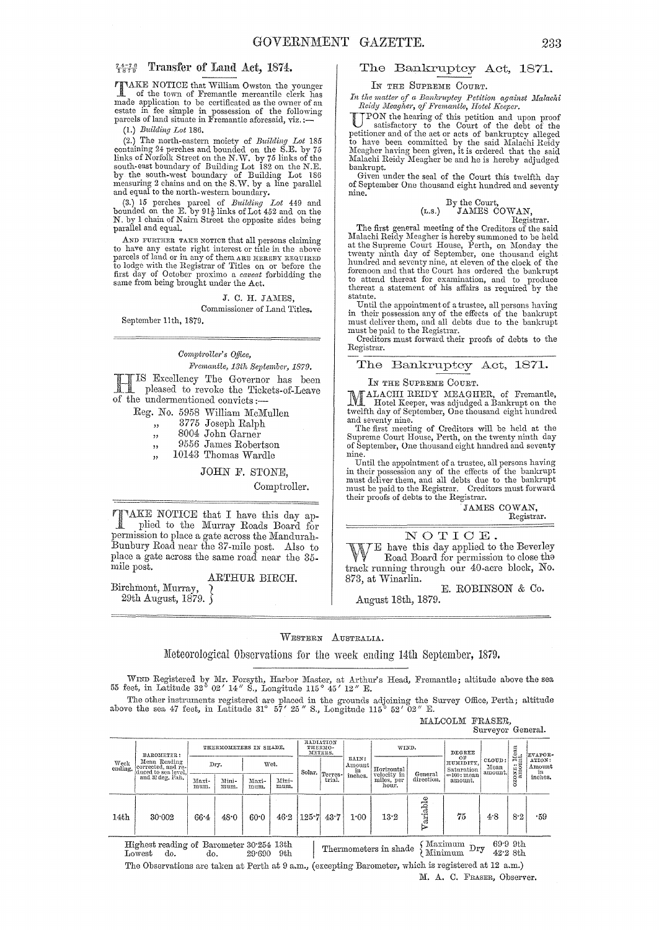TTAKE NOTICE that William Owston the younger<br>
of the town of Fremantle mercantile clerk has<br>
of the town of Fremantle mercantile clerk has made application to be certificated as the owner of au estate in fee simple in possession of the following<br>parcels of land situate in Fremantle aforesaid, viz.:—

(1.) *Building Lot* 186.

(2.) The north-eastern moiety of *Building Lot* 185 containing 24 perches and bounded on the S.E. by 75 links of Norfolk Street on the N.W. by 76 inks of the south-east boundary of Building Lot 182 on the N.E. by the sout and equal to the north-western boundary.

(3.) 15 perches parcel of *Building Lot* 449 and bounded on the E. by  $91\frac{1}{2}$  links of Lot 452 and on the N. by 1 chain of Nairn Street the opposite sides being parallel and equal.

 $\Lambda$  ND FURTHER TAKE NOTICE that all persons claiming to have any estate right interest or title in the above parcels of land or in any of them ARE HEREBY REQUIRED to lodge with the Registrar of Titles on or before the first day of October proximo a *caveat* forbidding the same from being brought under the Act.

> J. C. H. JAMES, Commissioner of Land Titles.

September 11th, 1879.

### *Comph'olle?"* s *o.tJice,*

*Fremantle, 13th September, 1879.*  Excellency The Governor has been

pleased to revoke the Tickets-of-Leave of the undermentioned convicts :-

Reg. No. 5958 William McMullen

- ,, 3775 Joseph Ralph
- ,, 8004 John Garner
- ", 9556 James Robertson
- ", 10143 Thomas Wardle

JOHN F. STONE,

Comptroller.

"AKE NOTICE that I have this day ap-<br>plied to the Murray Roads Board for permission to place a gate across the Mandurah-Bunbury Road near the 37-mile post. Also to place a gate across the same road near the 35 mile post.

### ARTHUR BIRCH.

Birchmont, Murray, } 29th August,  $1879.$ 

### $\frac{7.576}{1.576}$  Transfer of Land Act, 1874. The Bankruptcy Act, 1871.

### IN THE SUPREME COURT.

*In the matter of a Bankruptcy Petition against Malachi*<br>Reidy Meagher, of Fremantle, Hotel Keeper.

UPON the hearing of this petition and upon proof satisfactory to the Court of the debt of the petitioner and of the act or acts of bankruptcy alleged to have been committed by the said Malachi Reidy<br>Meagher having been given, it is ordered that the said Malachi Reidy Meagher be and he is hereby adjudged<br>bankrupt.

Given under the seal of the Court this twelfth day of September One thousand eight hundred and seventy nine.

### By the Court,<br>(r.s.) JAMES COWAN, Registrar.

The first general meeting of the Creditors of the said Malachi Reidy Meagher is hereby summoned to be held at the Supreme Court House, Perth, on Monday the twenty ninth day of September, one thousand eight hundred and seventy nine, at eleven of the clock of the forenoon and that the Court has ordered the bankrupt<br>to attend thereat for examination, and to produce thereat a statement of his affairs as required by the statute.

Until the appointment of a trustee, all persons haying in their possession any of the effects of the bankrupt must deliyer them, and all debts due to the bankrupt must be paid to the Registrar.

Creditors must forward their proofs of debts to the Registrar.

The Bankruptcy Act, 1871-

#### IN THE SUPREME COURT.

).<br>[ALACHI REIDY MEAGHER, of Fremantle, .<br>I. Hotel Keeper, was adjudged a Bankrupt on the twelfth day of September, One thousand eight hundred

and seventy nine.<br>The first meeting of Creditors will be held at the<br>Supreme Court House, Perth, on the twenty ninth day of September, One thousand eight hnndred and seventy nine.

Until the appointment of a trnstee, all persons having in their posscssion any of the effects of the bankrupt must dcliyer them, and all debts due to the bankrupt must be paid to the Registrar. Creditors must forward their proofs of debts to the Registrar.

JAMES COWAN, Registrar.

NOTIOE.

E have this day applied to the Beverley Road Board for permission to close tha track running through our 40-acre block, No. 873, at Winarlin.

E. ROBINSON & Co.

August 18th, 1879.

### WESTERN AUSTRALIA.

Meteorological Observations for the week ending 14th September, 1879.

WIND Registered by Mr. Forsyth, Harbor Master, at Arthur's Head, Fremantle; altitude above the sea 55 feet, in Latitude 32° 02' 14" S., Longitude 115° 45' 12" E.

The other instruments registered are placed in the grounds adjoining the Survey Office, Perth; altitude above the sea 47 feet, in Latitude 31°  $57'$  25" S., Longitude 115° 52' 02" E. MALCOLM FRASER

| IALCOLM FRASEK. |                   |  |
|-----------------|-------------------|--|
|                 | Surveyor General. |  |

| RADIATION<br>THERMOMETERS IN SHADE.<br>TONE: Mean<br>amount.<br>WIND.<br>THERMO-<br>DEGREE<br>METERS.<br>EVAPOR-<br>BAROMETER :<br>OF<br>RAIN:<br>CLOUD:<br>Mean Reading<br>HUMIDITY.<br>Week<br>ending.<br>Dry.<br>Wet.<br>Amount  <br>corrected, and re-<br>Mean<br>Horizontal<br>Saturation<br>in<br>duced to sea level.<br>$\mid$ Solar. $\mid_{\mbox{Terres}-1}$<br>' amount.<br>velocity in<br>General<br>inches.<br>$=100$ : mean<br>and 32 deg. Fah.<br>direction.<br>trial.<br>miles, per<br>Maxi-<br>Mini-<br>Mini-<br>Maxi-<br>amount.<br>ă<br>hour.<br>mum.<br>mum.<br>mum.<br>mum.<br>٥<br>abl<br>75<br>$125 - 7$<br>4.8<br>8.2<br>46.2<br>43.7<br>14th<br>13.2<br>-59<br>30.002<br>1:00<br>66.4<br>48.0<br>60.0 |  |  |  |  |  |  |  |  |  |                                   |
|-------------------------------------------------------------------------------------------------------------------------------------------------------------------------------------------------------------------------------------------------------------------------------------------------------------------------------------------------------------------------------------------------------------------------------------------------------------------------------------------------------------------------------------------------------------------------------------------------------------------------------------------------------------------------------------------------------------------------------|--|--|--|--|--|--|--|--|--|-----------------------------------|
|                                                                                                                                                                                                                                                                                                                                                                                                                                                                                                                                                                                                                                                                                                                               |  |  |  |  |  |  |  |  |  |                                   |
|                                                                                                                                                                                                                                                                                                                                                                                                                                                                                                                                                                                                                                                                                                                               |  |  |  |  |  |  |  |  |  | ATION:<br>Amount<br>in<br>inches. |
|                                                                                                                                                                                                                                                                                                                                                                                                                                                                                                                                                                                                                                                                                                                               |  |  |  |  |  |  |  |  |  |                                   |
|                                                                                                                                                                                                                                                                                                                                                                                                                                                                                                                                                                                                                                                                                                                               |  |  |  |  |  |  |  |  |  |                                   |

Highest reading or Barometer 30'254 13th I . cl \' Maximum D 69'9 9th Lowest do. do. 29'690 9th Thermometers III sha e <. JliIinimum ry 42'2 8th The Observations are taken at Perth at 9 a.m., (excepting Barometer, which is registered at 12 a.m.)

M. A. C. FRAsER, Observer.